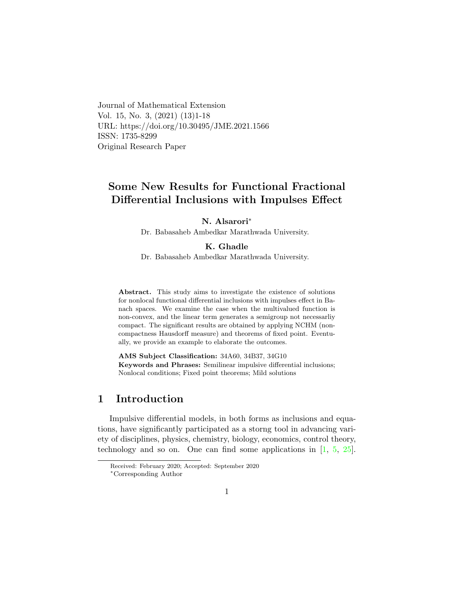Journal of Mathematical Extension Vol. 15, No. 3, (2021) (13)1-18 URL: https://doi.org/10.30495/JME.2021.1566 ISSN: 1735-8299 Original Research Paper

# Some New Results for Functional Fractional Differential Inclusions with Impulses Effect

### N. Alsarori<sup>∗</sup>

Dr. Babasaheb Ambedkar Marathwada University.

#### K. Ghadl[e](#page-0-0)

Dr. Babasaheb Ambedkar Marathwada University.

Abstract. This study aims to investigate the existence of solutions for nonlocal functional differential inclusions with impulses effect in Banach spaces. We examine the case when the multivalued function is non-convex, and the linear term generates a semigroup not necessarliy compact. The significant results are obtained by applying NCHM (noncompactness Hausdorff measure) and theorems of fixed point. Eventually, we provide an example to elaborate the outcomes.

AMS Subject Classification: 34A60, 34B37, 34G10 Keywords and Phrases: Semilinear impulsive differential inclusions; Nonlocal conditions; Fixed point theorems; Mild solutions

## 1 Introduction

Impulsive differential models, in both forms as inclusions and equations, have significantly participated as a storng tool in advancing variety of disciplines, physics, chemistry, biology, economics, control theory, technology and so on. One can find some applications in [\[1,](#page-14-0) [5,](#page-15-0) [25\]](#page-16-0).

<span id="page-0-0"></span>Received: February 2020; Accepted: September 2020 <sup>∗</sup>Corresponding Author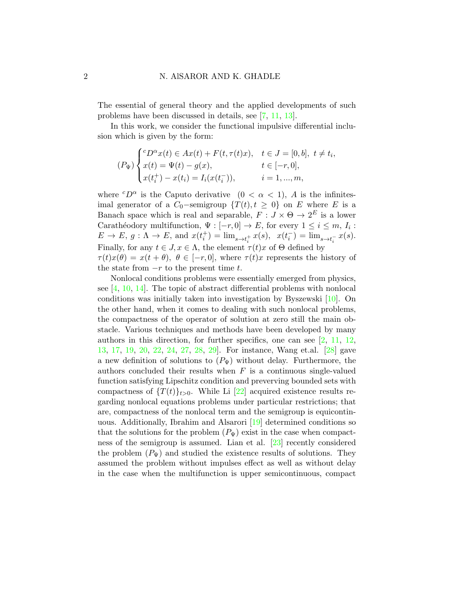The essential of general theory and the applied developments of such problems have been discussed in details, see [\[7,](#page-15-1) [11,](#page-15-2) [13\]](#page-15-3).

In this work, we consider the functional impulsive differential inclusion which is given by the form:

$$
(P_{\Psi})\begin{cases}^{c}D^{\alpha}x(t) \in Ax(t) + F(t,\tau(t)x), & t \in J = [0,b], \ t \neq t_{i}, \\ x(t) = \Psi(t) - g(x), & t \in [-r,0], \\ x(t_{i}^{+}) - x(t_{i}) = I_{i}(x(t_{i}^{-})), & i = 1,...,m, \end{cases}
$$

where  ${}^{c}D^{\alpha}$  is the Caputo derivative  $(0 < \alpha < 1)$ , A is the infinitesimal generator of a  $C_0$ -semigroup  $\{T(t), t \geq 0\}$  on E where E is a Banach space which is real and separable,  $F: J \times \Theta \to 2^E$  is a lower Carathéodory multifunction,  $\Psi : [-r, 0] \to E$ , for every  $1 \leq i \leq m$ ,  $I_i$ :  $E \to E, g: \Lambda \to E, \text{ and } x(t_i^+) = \lim_{s \to t_i^+} x(s), x(t_i^-) = \lim_{s \to t_i^-} x(s).$ Finally, for any  $t \in J$ ,  $x \in \Lambda$ , the element  $\tau(t)x$  of  $\Theta$  defined by  $\tau(t)x(\theta) = x(t + \theta), \ \theta \in [-r, 0],$  where  $\tau(t)x$  represents the history of the state from  $-r$  to the present time t.

Nonlocal conditions problems were essentially emerged from physics, see [\[4,](#page-14-1) [10,](#page-15-4) [14\]](#page-15-5). The topic of abstract differential problems with nonlocal conditions was initially taken into investigation by Byszewski [\[10\]](#page-15-4). On the other hand, when it comes to dealing with such nonlocal problems, the compactness of the operator of solution at zero still the main obstacle. Various techniques and methods have been developed by many authors in this direction, for further specifics, one can see  $[2, 11, 12,$  $[2, 11, 12,$  $[2, 11, 12,$  $[2, 11, 12,$ [13,](#page-15-3) [17,](#page-16-1) [19,](#page-16-2) [20,](#page-16-3) [22,](#page-16-4) [24,](#page-16-5) [27,](#page-17-0) [28,](#page-17-1) [29\]](#page-17-2). For instance, Wang et.al. [\[28\]](#page-17-1) gave a new definition of solutions to  $(P_{\Psi})$  without delay. Furthermore, the authors concluded their results when  $F$  is a continuous single-valued function satisfying Lipschitz condition and preverving bounded sets with compactness of  $\{T(t)\}_{t>0}$ . While Li [\[22\]](#page-16-4) acquired existence results regarding nonlocal equations problems under particular restrictions; that are, compactness of the nonlocal term and the semigroup is equicontinuous. Additionally, Ibrahim and Alsarori [\[19\]](#page-16-2) determined conditions so that the solutions for the problem  $(P_{\Psi})$  exist in the case when compactness of the semigroup is assumed. Lian et al. [\[23\]](#page-16-6) recently considered the problem  $(P_{\Psi})$  and studied the existence results of solutions. They assumed the problem without impulses effect as well as without delay in the case when the multifunction is upper semicontinuous, compact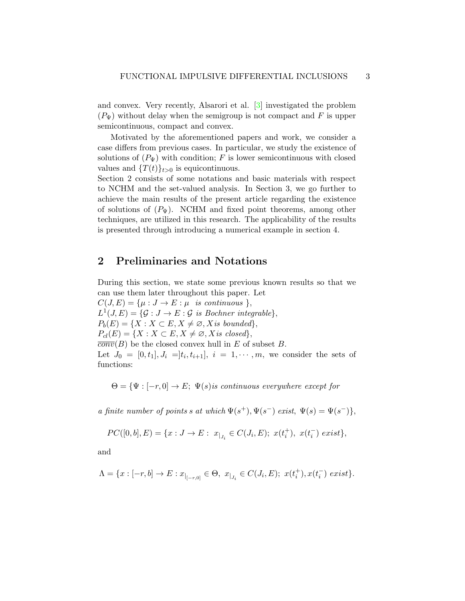and convex. Very recently, Alsarori et al. [\[3\]](#page-14-3) investigated the problem  $(P_{\Psi})$  without delay when the semigroup is not compact and F is upper semicontinuous, compact and convex.

Motivated by the aforementioned papers and work, we consider a case differs from previous cases. In particular, we study the existence of solutions of  $(P_{\Psi})$  with condition; F is lower semicontinuous with closed values and  $\{T(t)\}_{t>0}$  is equicontinuous.

Section 2 consists of some notations and basic materials with respect to NCHM and the set-valued analysis. In Section 3, we go further to achieve the main results of the present article regarding the existence of solutions of  $(P_{\Psi})$ . NCHM and fixed point theorems, among other techniques, are utilized in this research. The applicability of the results is presented through introducing a numerical example in section 4.

## 2 Preliminaries and Notations

During this section, we state some previous known results so that we can use them later throughout this paper. Let  $C(J, E) = {\mu : J \rightarrow E : \mu \text{ is continuous }},$  $L^1(J, E) = \{ \mathcal{G} : J \to E : \mathcal{G} \text{ is Bochner integrable} \},\$  $P_b(E) = \{X : X \subset E, X \neq \emptyset, X \text{ is bounded}\},\$  $P_{cl}(E) = \{X : X \subset E, X \neq \emptyset, X \text{ is closed}\},\$  $\overline{conv}(B)$  be the closed convex hull in E of subset B. Let  $J_0 = [0, t_1], J_i = ]t_i, t_{i+1}], i = 1, \cdots, m$ , we consider the sets of functions:

 $\Theta = {\Psi : [-r, 0] \rightarrow E; \Psi(s)$  is continuous everywhere except for

a finite number of points s at which  $\Psi(s^+), \Psi(s^-)$  exist,  $\Psi(s) = \Psi(s^-)\},\$ 

$$
PC([0, b], E) = \{x : J \to E : x_{|_{J_i}} \in C(J_i, E); x(t_i^+), x(t_i^-) \text{ exist}\},\
$$

and

$$
\Lambda=\{x:[-r,b]\to E:x_{|_{[-r,0]}}\in \Theta, \ x_{|_{J_i}}\in C(J_i,E);\ x(t_i^+),x(t_i^-) \ exists\}.
$$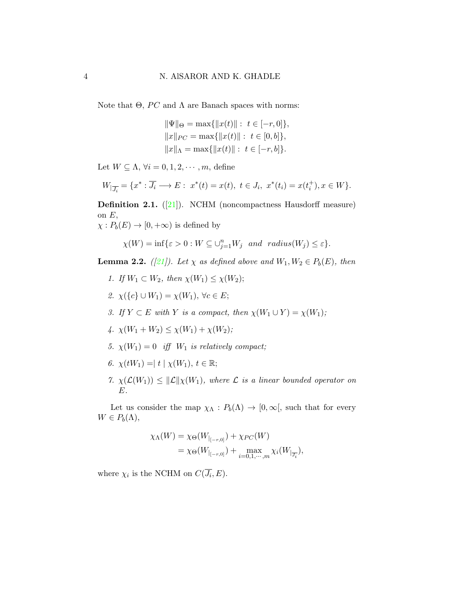Note that Θ,  $PC$  and Λ are Banach spaces with norms:

$$
\|\Psi\|_{\Theta} = \max\{\|x(t)\| : t \in [-r, 0]\},
$$
  

$$
\|x\|_{PC} = \max\{\|x(t)\| : t \in [0, b]\},
$$
  

$$
\|x\|_{\Lambda} = \max\{\|x(t)\| : t \in [-r, b]\}.
$$

Let  $W \subseteq \Lambda$ ,  $\forall i = 0, 1, 2, \dots, m$ , define

$$
W_{|\overline{J_i}} = \{x^* : \overline{J_i} \longrightarrow E : x^*(t) = x(t), \ t \in J_i, \ x^*(t_i) = x(t_i^+), x \in W\}.
$$

**Definition 2.1.** ([\[21\]](#page-16-7)). NCHM (noncompactness Hausdorff measure) on  $E$ ,

 $\chi: P_b(E) \to [0, +\infty)$  is defined by

$$
\chi(W) = \inf \{ \varepsilon > 0 : W \subseteq \bigcup_{j=1}^n W_j \text{ and } radius(W_j) \le \varepsilon \}.
$$

<span id="page-3-0"></span>**Lemma 2.2.** ([\[21\]](#page-16-7)). Let  $\chi$  as defined above and  $W_1, W_2 \in P_b(E)$ , then

- 1. If  $W_1 \subset W_2$ , then  $\chi(W_1) \leq \chi(W_2)$ ;
- 2.  $\chi({c} \cup W_1) = \chi(W_1)$ ,  $\forall c \in E$ ;
- 3. If  $Y \subset E$  with Y is a compact, then  $\chi(W_1 \cup Y) = \chi(W_1)$ ;
- 4.  $\chi(W_1+W_2) \leq \chi(W_1) + \chi(W_2)$ ;
- 5.  $\chi(W_1) = 0$  iff  $W_1$  is relatively compact;
- 6.  $\chi(tW_1) = |t| \chi(W_1), t \in \mathbb{R};$
- 7.  $\chi(\mathcal{L}(W_1)) \leq ||\mathcal{L}|| \chi(W_1)$ , where  $\mathcal L$  is a linear bounded operator on  $E.$

Let us consider the map  $\chi_{\Lambda}: P_b(\Lambda) \to [0, \infty],$  such that for every  $W \in P_b(\Lambda),$ 

$$
\chi_{\Lambda}(W) = \chi_{\Theta}(W_{|_{[-r,0]}}) + \chi_{PC}(W)
$$
  
=  $\chi_{\Theta}(W_{|_{[-r,0]}}) + \max_{i=0,1,\cdots,m} \chi_i(W_{|_{\overline{J_i}}}),$ 

where  $\chi_i$  is the NCHM on  $C(\overline{J_i}, E)$ .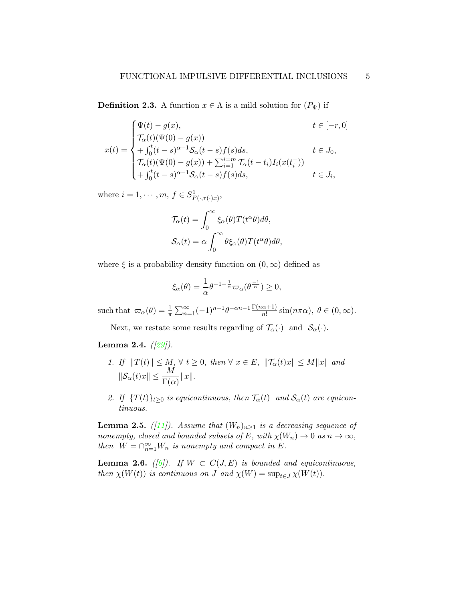**Definition 2.3.** A function  $x \in \Lambda$  is a mild solution for  $(P_{\Psi})$  if

$$
x(t) = \begin{cases} \Psi(t) - g(x), & t \in [-r, 0] \\ \mathcal{T}_{\alpha}(t)(\Psi(0) - g(x)) & t \in [r, 0] \\ + \int_0^t (t - s)^{\alpha - 1} \mathcal{S}_{\alpha}(t - s) f(s) ds, & t \in J_0, \\ \mathcal{T}_{\alpha}(t)(\Psi(0) - g(x)) + \sum_{i=1}^{i=m} \mathcal{T}_{\alpha}(t - t_i) I_i(x(t_i^{-})) \\ + \int_0^t (t - s)^{\alpha - 1} \mathcal{S}_{\alpha}(t - s) f(s) ds, & t \in J_i, \end{cases}
$$

where  $i = 1, \dots, m, f \in S^1_{F(\cdot, \tau(\cdot)x)}$ ,

$$
\mathcal{T}_{\alpha}(t) = \int_0^{\infty} \xi_{\alpha}(\theta) T(t^{\alpha}\theta) d\theta,
$$
  

$$
\mathcal{S}_{\alpha}(t) = \alpha \int_0^{\infty} \theta \xi_{\alpha}(\theta) T(t^{\alpha}\theta) d\theta,
$$

where  $\xi$  is a probability density function on  $(0, \infty)$  defined as

$$
\xi_{\alpha}(\theta) = \frac{1}{\alpha} \theta^{-1-\frac{1}{\alpha}} \varpi_{\alpha}(\theta^{\frac{-1}{\alpha}}) \ge 0,
$$

such that  $\omega_{\alpha}(\theta) = \frac{1}{\pi} \sum_{n=1}^{\infty} (-1)^{n-1} \theta^{-\alpha n-1} \frac{\Gamma(n\alpha+1)}{n!} \sin(n\pi\alpha), \ \theta \in (0, \infty).$ 

Next, we restate some results regarding of  $\mathcal{T}_{\alpha}(\cdot)$  and  $\mathcal{S}_{\alpha}(\cdot)$ .

### <span id="page-4-0"></span>**Lemma 2.4.**  $(|29|)$ .

- 1. If  $||T(t)|| \leq M$ ,  $\forall t \geq 0$ , then  $\forall x \in E$ ,  $||\mathcal{T}_{\alpha}(t)x|| \leq M||x||$  and  $\|\mathcal{S}_{\alpha}(t)x\| \leq \frac{M}{\Gamma(\alpha)}\|x\|.$
- 2. If  $\{T(t)\}_{t>0}$  is equicontinuous, then  $\mathcal{T}_{\alpha}(t)$  and  $\mathcal{S}_{\alpha}(t)$  are equicontinuous.

<span id="page-4-1"></span>**Lemma 2.5.** ([\[11\]](#page-15-2)). Assume that  $(W_n)_{n>1}$  is a decreasing sequence of nonempty, closed and bounded subsets of E, with  $\chi(W_n) \to 0$  as  $n \to \infty$ , then  $W = \bigcap_{n=1}^{\infty} W_n$  is nonempty and compact in E.

<span id="page-4-2"></span>**Lemma 2.6.** ([\[6\]](#page-15-7)). If  $W \subset C(J, E)$  is bounded and equicontinuous, then  $\chi(W(t))$  is continuous on J and  $\chi(W) = \sup_{t \in J} \chi(W(t)).$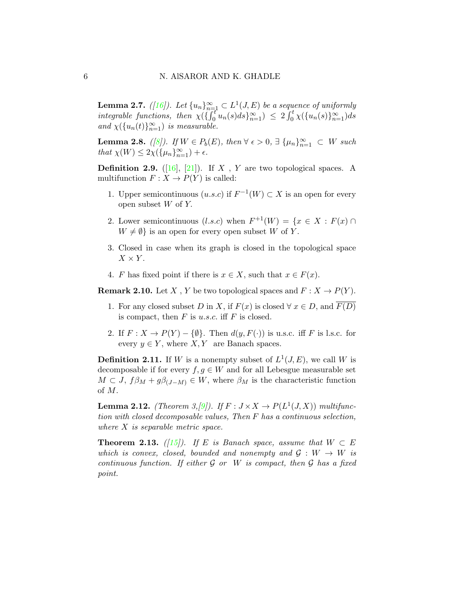**Lemma 2.7.** ([\[16\]](#page-16-8)). Let  $\{u_n\}_{n=1}^{\infty} \subset L^1(J, E)$  be a sequence of uniformly integrable functions, then  $\chi(\{\int_0^t u_n(s)ds\}_{n=1}^\infty) \leq 2 \int_0^t \chi(\{u_n(s)\}_{n=1}^\infty) ds$ and  $\chi(\lbrace u_n(t)\rbrace_{n=1}^{\infty})$  is measurable.

<span id="page-5-3"></span>**Lemma 2.8.** ([\[8\]](#page-15-8)). If  $W \in P_b(E)$ , then  $\forall \epsilon > 0$ ,  $\exists \{\mu_n\}_{n=1}^{\infty} \subset W$  such that  $\chi(W) \leq 2\chi(\{\mu_n\}_{n=1}^{\infty}) + \epsilon$ .

**Definition 2.9.** ([\[16\]](#page-16-8), [\[21\]](#page-16-7)). If X, Y are two topological spaces. A multifunction  $F: X \to P(Y)$  is called:

- 1. Upper semicontinuous  $(u.s.c)$  if  $F^{-1}(W) \subset X$  is an open for every open subset  $W$  of  $Y$ .
- 2. Lower semicontinuous  $(l.s.c)$  when  $F^{+1}(W) = \{x \in X : F(x) \cap$  $W \neq \emptyset$  is an open for every open subset W of Y.
- 3. Closed in case when its graph is closed in the topological space  $X \times Y$ .
- 4. F has fixed point if there is  $x \in X$ , such that  $x \in F(x)$ .

<span id="page-5-0"></span>**Remark 2.10.** Let X, Y be two topological spaces and  $F: X \to P(Y)$ .

- 1. For any closed subset D in X, if  $F(x)$  is closed  $\forall x \in D$ , and  $F(D)$ is compact, then  $F$  is u.s.c. iff  $F$  is closed.
- 2. If  $F: X \to P(Y) \{\emptyset\}$ . Then  $d(y, F(\cdot))$  is u.s.c. iff F is l.s.c. for every  $y \in Y$ , where  $X, Y$  are Banach spaces.

**Definition 2.11.** If W is a nonempty subset of  $L^1(J, E)$ , we call W is decomposable if for every  $f, g \in W$  and for all Lebesgue measurable set  $M \subset J$ ,  $f\beta_M + g\beta_{(J-M)} \in W$ , where  $\beta_M$  is the characteristic function of M.

<span id="page-5-1"></span>**Lemma 2.12.** (Theorem 3, [\[9\]](#page-15-9)). If  $F: J \times X \to P(L^1(J,X))$  multifunction with closed decomposable values, Then F has a continuous selection, where X is separable metric space.

<span id="page-5-2"></span>**Theorem 2.13.** ([\[15\]](#page-15-10)). If E is Banach space, assume that  $W \subset E$ which is convex, closed, bounded and nonempty and  $\mathcal{G}: W \to W$  is continuous function. If either  $\mathcal G$  or  $W$  is compact, then  $\mathcal G$  has a fixed point.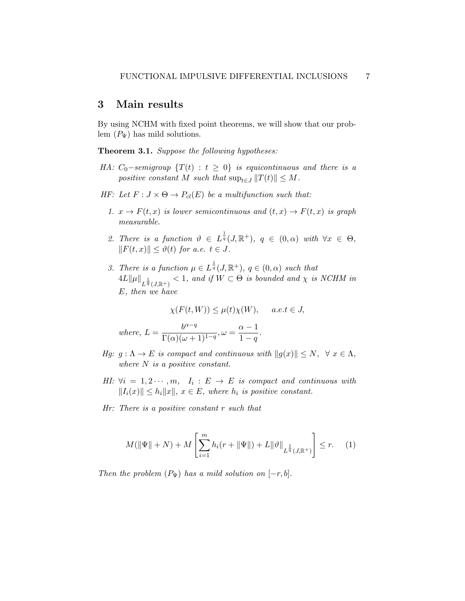## 3 Main results

By using NCHM with fixed point theorems, we will show that our problem  $(P_{\Psi})$  has mild solutions.

<span id="page-6-1"></span>Theorem 3.1. Suppose the following hypotheses:

- HA:  $C_0$ -semigroup  $\{T(t) : t \geq 0\}$  is equicontinuous and there is a positive constant M such that  $\sup_{t\in J} ||T(t)|| \leq M$ .
- HF: Let  $F: J \times \Theta \rightarrow P_{cl}(E)$  be a multifunction such that:
	- 1.  $x \to F(t, x)$  is lower semicontinuous and  $(t, x) \to F(t, x)$  is graph measurable.
	- 2. There is a function  $\vartheta \in L^{\frac{1}{q}}(J,\mathbb{R}^{+}), q \in (0,\alpha)$  with  $\forall x \in \Theta$ ,  $||F(t, x)|| \leq \vartheta(t)$  for a.e.  $t \in J$ .
	- 3. There is a function  $\mu \in L^{\frac{1}{q}}(J,\mathbb{R}^{+})$ ,  $q \in (0,\alpha)$  such that  $4L\|\mu\|_{L^{\frac{1}{q}}(J,\mathbb{R}^+)} < 1$ , and if  $W \subset \Theta$  is bounded and  $\chi$  is NCHM in E, then we have

$$
\chi(F(t,W)) \le \mu(t)\chi(W), \quad a.e. t \in J,
$$

where, 
$$
L = \frac{b^{\alpha-q}}{\Gamma(\alpha)(\omega+1)^{1-q}}, \omega = \frac{\alpha-1}{1-q}.
$$

- Hg:  $g: \Lambda \to E$  is compact and continuous with  $||g(x)|| \leq N$ ,  $\forall x \in \Lambda$ , where N is a positive constant.
- HI:  $\forall i = 1, 2 \cdots, m, I_i : E \rightarrow E$  is compact and continuous with  $||I_i(x)|| \leq h_i ||x||$ ,  $x \in E$ , where  $h_i$  is positive constant.
- Hr: There is a positive constant r such that

<span id="page-6-0"></span>
$$
M(\|\Psi\|+N) + M\left[\sum_{i=1}^{m} h_i(r + \|\Psi\|) + L\|\vartheta\|_{L^{\frac{1}{q}}(J,\mathbb{R}^+)}\right] \le r.
$$
 (1)

Then the problem  $(P_{\Psi})$  has a mild solution on  $[-r, b]$ .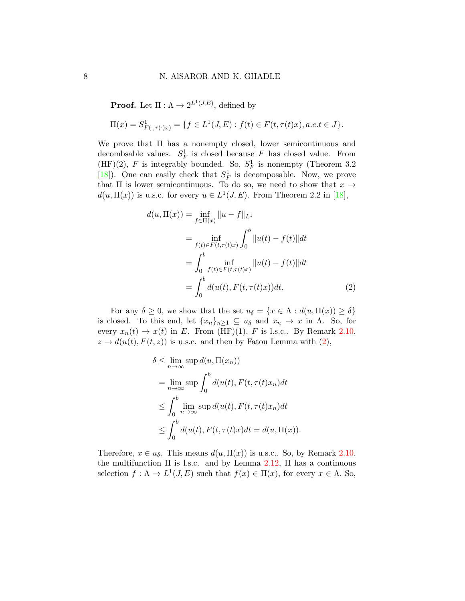**Proof.** Let  $\Pi: \Lambda \to 2^{L^1(J,E)}$ , defined by

$$
\Pi(x) = S^1_{F(\cdot, \tau(\cdot)x)} = \{ f \in L^1(J, E) : f(t) \in F(t, \tau(t)x), a.e. t \in J \}.
$$

We prove that Π has a nonempty closed, lower semicontinuous and decombsable values.  $S_F^1$  is closed because F has closed value. From  $(HF)(2)$ , F is integrably bounded. So,  $S_F^1$  is nonempty (Theorem 3.2) [\[18\]](#page-16-9)). One can easily check that  $S_F^1$  is decomposable. Now, we prove that  $\Pi$  is lower semicontinuous. To do so, we need to show that  $x \rightarrow$  $d(u, \Pi(x))$  is u.s.c. for every  $u \in L^1(J, E)$ . From Theorem 2.2 in [\[18\]](#page-16-9),

<span id="page-7-0"></span>
$$
d(u, \Pi(x)) = \inf_{f \in \Pi(x)} ||u - f||_{L^{1}}
$$
  
= 
$$
\inf_{f(t) \in F(t, \tau(t)x)} \int_{0}^{b} ||u(t) - f(t)||dt
$$
  
= 
$$
\int_{0}^{b} \inf_{f(t) \in F(t, \tau(t)x)} ||u(t) - f(t)||dt
$$
  
= 
$$
\int_{0}^{b} d(u(t), F(t, \tau(t)x))dt.
$$
 (2)

For any  $\delta \geq 0$ , we show that the set  $u_{\delta} = \{x \in \Lambda : d(u, \Pi(x)) \geq \delta\}$ is closed. To this end, let  $\{x_n\}_{n\geq 1} \subseteq u_\delta$  and  $x_n \to x$  in  $\Lambda$ . So, for every  $x_n(t) \to x(t)$  in E. From (HF)(1), F is l.s.c.. By Remark [2.10,](#page-5-0)  $z \to d(u(t), F(t, z))$  is u.s.c. and then by Fatou Lemma with  $(2)$ ,

$$
\delta \leq \lim_{n \to \infty} \sup d(u, \Pi(x_n))
$$
  
= 
$$
\lim_{n \to \infty} \sup \int_0^b d(u(t), F(t, \tau(t)x_n) dt
$$
  

$$
\leq \int_0^b \lim_{n \to \infty} \sup d(u(t), F(t, \tau(t)x_n) dt
$$
  

$$
\leq \int_0^b d(u(t), F(t, \tau(t)x) dt = d(u, \Pi(x)).
$$

Therefore,  $x \in u_{\delta}$ . This means  $d(u, \Pi(x))$  is u.s.c.. So, by Remark [2.10,](#page-5-0) the multifunction  $\Pi$  is l.s.c. and by Lemma [2.12,](#page-5-1)  $\Pi$  has a continuous selection  $f: \Lambda \to L^1(J, E)$  such that  $f(x) \in \Pi(x)$ , for every  $x \in \Lambda$ . So,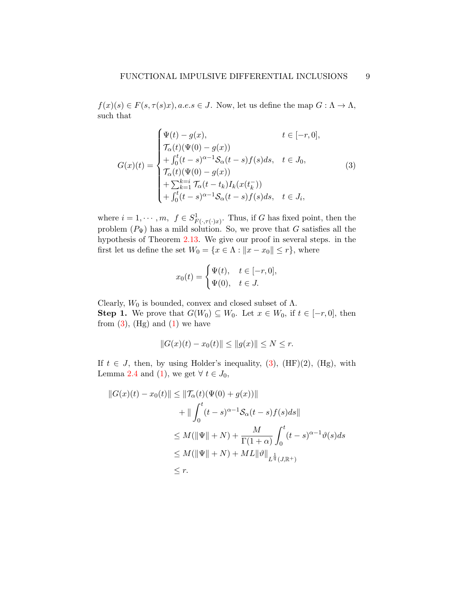$f(x)(s) \in F(s, \tau(s)x)$ , a.e.s  $\in J$ . Now, let us define the map  $G : \Lambda \to \Lambda$ , such that

<span id="page-8-0"></span>
$$
G(x)(t) = \begin{cases} \Psi(t) - g(x), & t \in [-r, 0], \\ \mathcal{T}_{\alpha}(t)(\Psi(0) - g(x)) \\ + \int_0^t (t - s)^{\alpha - 1} \mathcal{S}_{\alpha}(t - s) f(s) ds, & t \in J_0, \\ \mathcal{T}_{\alpha}(t)(\Psi(0) - g(x)) \\ + \sum_{k=1}^{k=i} \mathcal{T}_{\alpha}(t - t_k) I_k(x(t_k^-)) \\ + \int_0^t (t - s)^{\alpha - 1} \mathcal{S}_{\alpha}(t - s) f(s) ds, & t \in J_i, \end{cases}
$$
(3)

where  $i = 1, \dots, m, f \in S^1_{F(\cdot, \tau(\cdot)x)}$ . Thus, if G has fixed point, then the problem  $(P_{\Psi})$  has a mild solution. So, we prove that G satisfies all the hypothesis of Theorem [2.13.](#page-5-2) We give our proof in several steps. in the first let us define the set  $W_0 = \{x \in \Lambda : ||x - x_0|| \le r\}$ , where

$$
x_0(t) = \begin{cases} \Psi(t), & t \in [-r, 0], \\ \Psi(0), & t \in J. \end{cases}
$$

Clearly,  $W_0$  is bounded, convex and closed subset of  $\Lambda$ . **Step 1.** We prove that  $G(W_0) \subseteq W_0$ . Let  $x \in W_0$ , if  $t \in [-r, 0]$ , then from  $(3)$ ,  $(Hg)$  and  $(1)$  we have

$$
||G(x)(t) - x_0(t)|| \le ||g(x)|| \le N \le r.
$$

If  $t \in J$ , then, by using Holder's inequality, [\(3\)](#page-8-0), (HF)(2), (Hg), with Lemma [2.4](#page-4-0) and [\(1\)](#page-6-0), we get  $\forall t \in J_0$ ,

$$
||G(x)(t) - x_0(t)|| \le ||\mathcal{T}_{\alpha}(t)(\Psi(0) + g(x))||
$$
  
+  $||\int_0^t (t - s)^{\alpha - 1} S_{\alpha}(t - s) f(s) ds||$   
 $\le M(||\Psi|| + N) + \frac{M}{\Gamma(1 + \alpha)} \int_0^t (t - s)^{\alpha - 1} \vartheta(s) ds$   
 $\le M(||\Psi|| + N) + ML||\vartheta||_{L^{\frac{1}{q}}(J, \mathbb{R}^+)}$   
 $\le r.$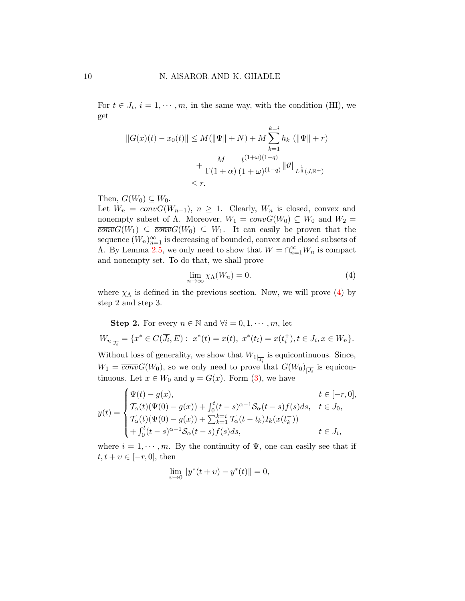For  $t \in J_i$ ,  $i = 1, \dots, m$ , in the same way, with the condition (HI), we get

$$
||G(x)(t) - x_0(t)|| \le M(||\Psi|| + N) + M \sum_{k=1}^{k=i} h_k (||\Psi|| + r)
$$
  
+ 
$$
\frac{M}{\Gamma(1+\alpha)} \frac{t^{(1+\omega)(1-q)}}{(1+\omega)^{(1-q)}} ||\vartheta||_{L^{\frac{1}{q}}(J,\mathbb{R}^+)}
$$
  
\$\le r\$.

Then,  $G(W_0) \subseteq W_0$ .

Let  $W_n = \overline{conv}G(W_{n-1}), n \ge 1$ . Clearly,  $W_n$  is closed, convex and nonempty subset of  $\Lambda$ . Moreover,  $W_1 = \overline{conv}G(W_0) \subseteq W_0$  and  $W_2 =$  $\overline{conv}G(W_1) \subseteq \overline{conv}G(W_0) \subseteq W_1$ . It can easily be proven that the sequence  $(W_n)_{n=1}^{\infty}$  is decreasing of bounded, convex and closed subsets of A. By Lemma [2.5,](#page-4-1) we only need to show that  $W = \bigcap_{n=1}^{\infty} W_n$  is compact and nonempty set. To do that, we shall prove

<span id="page-9-0"></span>
$$
\lim_{n \to \infty} \chi_{\Lambda}(W_n) = 0. \tag{4}
$$

where  $\chi_{\Lambda}$  is defined in the previous section. Now, we will prove [\(4\)](#page-9-0) by step 2 and step 3.

Step 2. For every  $n \in \mathbb{N}$  and  $\forall i = 0, 1, \dots, m$ , let  $W_{n|_{\overline{J_i}}} = \{x^* \in C(\overline{J_i}, E): x^*(t) = x(t), x^*(t_i) = x(t_i^+), t \in J_i, x \in W_n\}.$ Without loss of generality, we show that  $W_{1|_{\overline{J_i}}}$  is equicontinuous. Since,  $W_1 = \overline{conv}G(W_0)$ , so we only need to prove that  $G(W_0)_{\vert \overline{J_i}}$  is equicontinuous. Let  $x \in W_0$  and  $y = G(x)$ . Form [\(3\)](#page-8-0), we have

$$
y(t) = \begin{cases} \Psi(t) - g(x), & t \in [-r, 0], \\ \mathcal{T}_{\alpha}(t)(\Psi(0) - g(x)) + \int_0^t (t - s)^{\alpha - 1} \mathcal{S}_{\alpha}(t - s) f(s) ds, & t \in J_0, \\ \mathcal{T}_{\alpha}(t)(\Psi(0) - g(x)) + \sum_{k=1}^{k=i} \mathcal{T}_{\alpha}(t - t_k) I_k(x(t_k^-)) \\ + \int_0^t (t - s)^{\alpha - 1} \mathcal{S}_{\alpha}(t - s) f(s) ds, & t \in J_i, \end{cases}
$$

where  $i = 1, \dots, m$ . By the continuity of  $\Psi$ , one can easily see that if  $t, t + v \in [-r, 0],$  then

$$
\lim_{v \to 0} \|y^*(t+v) - y^*(t)\| = 0,
$$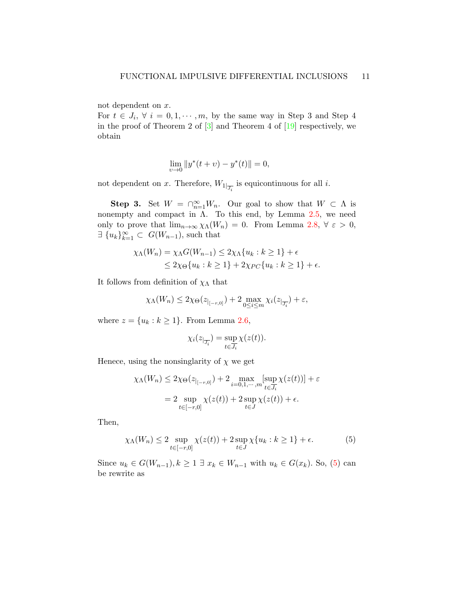not dependent on x.

For  $t \in J_i$ ,  $\forall i = 0, 1, \dots, m$ , by the same way in Step 3 and Step 4 in the proof of Theorem 2 of  $\lceil 3 \rceil$  and Theorem 4 of  $\lceil 19 \rceil$  respectively, we obtain

$$
\lim_{v \to 0} \|y^*(t+v) - y^*(t)\| = 0,
$$

not dependent on x. Therefore,  $W_{1|_{\overline{J_i}}}$  is equicontinuous for all i.

**Step 3.** Set  $W = \bigcap_{n=1}^{\infty} W_n$ . Our goal to show that  $W \subset \Lambda$  is nonempty and compact in  $\Lambda$ . To this end, by Lemma [2.5,](#page-4-1) we need only to prove that  $\lim_{n\to\infty}\chi_{\Lambda}(W_n) = 0$ . From Lemma [2.8,](#page-5-3)  $\forall \varepsilon > 0$ ,  $\exists \{u_k\}_{k=1}^{\infty} \subset G(W_{n-1}),$  such that

$$
\chi_{\Lambda}(W_n) = \chi_{\Lambda}G(W_{n-1}) \le 2\chi_{\Lambda}\{u_k : k \ge 1\} + \epsilon
$$
  
\n
$$
\le 2\chi_{\Theta}\{u_k : k \ge 1\} + 2\chi_{PC}\{u_k : k \ge 1\} + \epsilon.
$$

It follows from definition of  $\chi_{\Lambda}$  that

$$
\chi_{\Lambda}(W_n) \leq 2\chi_{\Theta}(z_{|_{[-r,0]}}) + 2 \max_{0 \leq i \leq m} \chi_i(z_{|_{\overline{J_i}}}) + \varepsilon,
$$

where  $z = \{u_k : k \geq 1\}$ . From Lemma [2.6,](#page-4-2)

$$
\chi_i(z_{|\overline{J_i}}) = \sup_{t \in \overline{J_i}} \chi(z(t)).
$$

Henece, using the nonsinglarity of  $\chi$  we get

$$
\chi_{\Lambda}(W_n) \le 2\chi_{\Theta}(z_{|_{[-r,0]}}) + 2 \max_{i=0,1,\cdots,m} \left[\sup_{t \in \overline{J_i}} \chi(z(t))\right] + \varepsilon
$$

$$
= 2 \sup_{t \in [-r,0]} \chi(z(t)) + 2 \sup_{t \in J} \chi(z(t)) + \epsilon.
$$

Then,

<span id="page-10-0"></span>
$$
\chi_{\Lambda}(W_n) \le 2 \sup_{t \in [-r,0]} \chi(z(t)) + 2 \sup_{t \in J} \chi\{u_k : k \ge 1\} + \epsilon.
$$
 (5)

Since  $u_k \in G(W_{n-1}), k \geq 1 \exists x_k \in W_{n-1}$  with  $u_k \in G(x_k)$ . So, [\(5\)](#page-10-0) can be rewrite as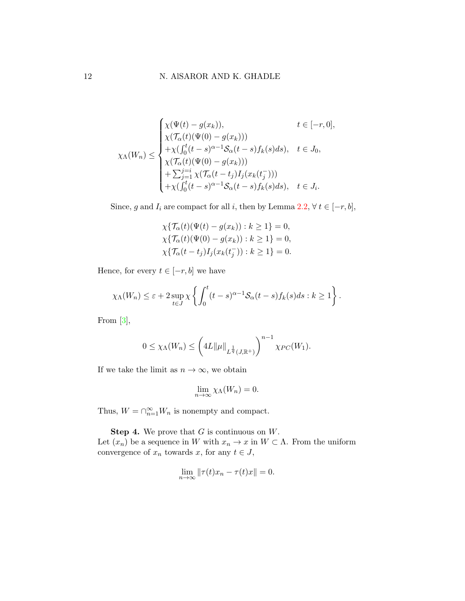$$
\chi_{\Lambda}(W_n) \leq \begin{cases}\n\chi(\Psi(t) - g(x_k)), & t \in [-r, 0], \\
\chi(\mathcal{T}_{\alpha}(t)(\Psi(0) - g(x_k))) \\
+\chi(\int_0^t (t - s)^{\alpha - 1} S_{\alpha}(t - s) f_k(s) ds), & t \in J_0, \\
\chi(\mathcal{T}_{\alpha}(t)(\Psi(0) - g(x_k))) \\
+\sum_{j=1}^{j=i} \chi(\mathcal{T}_{\alpha}(t - t_j) I_j(x_k(t_j^-))) \\
+\chi(\int_0^t (t - s)^{\alpha - 1} S_{\alpha}(t - s) f_k(s) ds), & t \in J_i.\n\end{cases}
$$

Since, g and  $I_i$  are compact for all i, then by Lemma [2.2,](#page-3-0)  $\forall t \in [-r, b],$ 

$$
\chi\{\mathcal{T}_{\alpha}(t)(\Psi(t) - g(x_k)) : k \ge 1\} = 0,
$$
  
\n
$$
\chi\{\mathcal{T}_{\alpha}(t)(\Psi(0) - g(x_k)) : k \ge 1\} = 0,
$$
  
\n
$$
\chi\{\mathcal{T}_{\alpha}(t - t_j)I_j(x_k(t_j^{-})): k \ge 1\} = 0.
$$

Hence, for every  $t \in [-r, b]$  we have

$$
\chi_{\Lambda}(W_n) \leq \varepsilon + 2 \sup_{t \in J} \chi \left\{ \int_0^t (t-s)^{\alpha-1} \mathcal{S}_{\alpha}(t-s) f_k(s) ds : k \geq 1 \right\}.
$$

From  $[3]$ ,

$$
0 \le \chi_{\Lambda}(W_n) \le \left( 4L \| \mu \|_{L^{\frac{1}{q}}(J,\mathbb{R}^+)} \right)^{n-1} \chi_{PC}(W_1).
$$

If we take the limit as  $n \to \infty$ , we obtain

$$
\lim_{n \to \infty} \chi_{\Lambda}(W_n) = 0.
$$

Thus,  $W = \bigcap_{n=1}^{\infty} W_n$  is nonempty and compact.

**Step 4.** We prove that  $G$  is continuous on  $W$ .

Let  $(x_n)$  be a sequence in W with  $x_n \to x$  in  $W \subset \Lambda$ . From the uniform convergence of  $x_n$  towards x, for any  $t \in J$ ,

$$
\lim_{n \to \infty} \|\tau(t)x_n - \tau(t)x\| = 0.
$$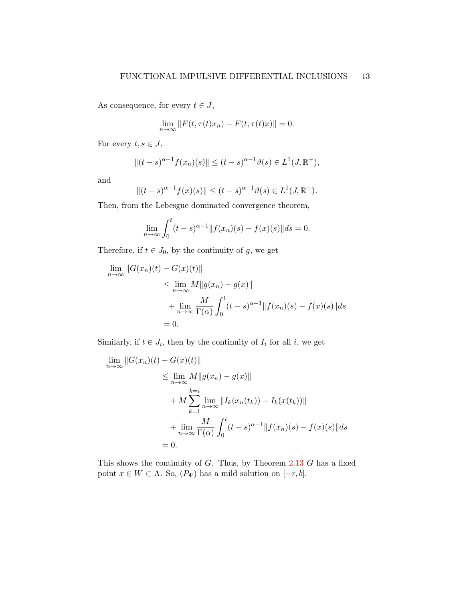As consequence, for every  $t \in J$ ,

$$
\lim_{n \to \infty} ||F(t, \tau(t)x_n) - F(t, \tau(t)x)|| = 0.
$$

For every  $t, s \in J$ ,

$$
||(t-s)^{\alpha-1}f(x_n)(s)|| \le (t-s)^{\alpha-1}\vartheta(s) \in L^1(J, \mathbb{R}^+),
$$

and

$$
||(t-s)^{\alpha-1}f(x)(s)|| \le (t-s)^{\alpha-1}\vartheta(s) \in L^1(J, \mathbb{R}^+).
$$

Then, from the Lebesgue dominated convergence theorem,

$$
\lim_{n \to \infty} \int_0^t (t - s)^{\alpha - 1} ||f(x_n)(s) - f(x)(s)|| ds = 0.
$$

Therefore, if  $t \in J_0$ , by the continuity of g, we get

$$
\lim_{n \to \infty} ||G(x_n)(t) - G(x)(t)||
$$
\n
$$
\leq \lim_{n \to \infty} M||g(x_n) - g(x)||
$$
\n
$$
+ \lim_{n \to \infty} \frac{M}{\Gamma(\alpha)} \int_0^t (t - s)^{\alpha - 1} ||f(x_n)(s) - f(x)(s)|| ds
$$
\n
$$
= 0.
$$

Similarly, if  $t \in J_i$ , then by the continuity of  $I_i$  for all i, we get

$$
\lim_{n \to \infty} ||G(x_n)(t) - G(x)(t)||
$$
\n
$$
\leq \lim_{n \to \infty} M ||g(x_n) - g(x)||
$$
\n
$$
+ M \sum_{k=1}^{k=i} \lim_{n \to \infty} ||I_k(x_n(t_k)) - I_k(x(t_k))||
$$
\n
$$
+ \lim_{n \to \infty} \frac{M}{\Gamma(\alpha)} \int_0^t (t - s)^{\alpha - 1} ||f(x_n)(s) - f(x)(s)|| ds
$$
\n
$$
= 0.
$$

This shows the continuity of  $G$ . Thus, by Theorem [2.13](#page-5-2)  $G$  has a fixed point  $x \in W \subset \Lambda$ . So,  $(P_{\Psi})$  has a mild solution on  $[-r, b]$ .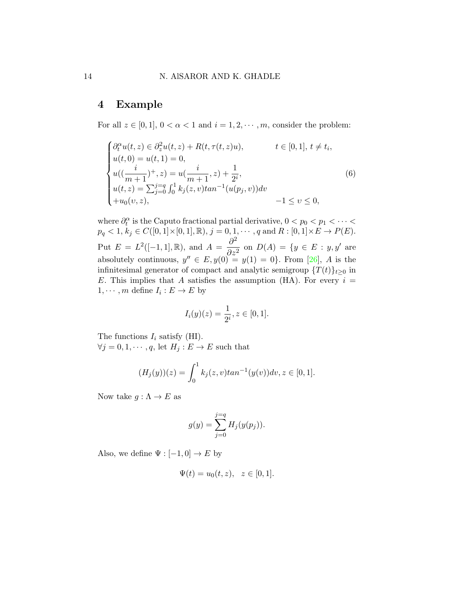# 4 Example

For all  $z \in [0, 1]$ ,  $0 < \alpha < 1$  and  $i = 1, 2, \dots, m$ , consider the problem:

<span id="page-13-0"></span>
$$
\begin{cases}\n\partial_t^{\alpha} u(t, z) \in \partial_z^2 u(t, z) + R(t, \tau(t, z)u), & t \in [0, 1], t \neq t_i, \\
u(t, 0) = u(t, 1) = 0, \\
u((\frac{i}{m+1})^+, z) = u(\frac{i}{m+1}, z) + \frac{1}{2^i}, \\
u(t, z) = \sum_{j=0}^{j=q} \int_0^1 k_j(z, v) \tan^{-1}(u(p_j, v)) dv \\
+u_0(v, z), & -1 \le v \le 0,\n\end{cases}
$$
\n(6)

where  $\partial_t^{\alpha}$  is the Caputo fractional partial derivative,  $0 < p_0 < p_1 < \cdots <$  $p_q < 1, k_j \in C([0, 1] \times [0, 1], \mathbb{R}), j = 0, 1, \cdots, q \text{ and } R : [0, 1] \times E \to P(E).$ Put  $E = L^2([-1,1], \mathbb{R})$ , and  $A = \frac{\partial^2}{\partial x^2}$  $\frac{\partial}{\partial z^2}$  on  $D(A) = \{y \in E : y, y'\}$  are absolutely continuous,  $y'' \in E$ ,  $y(0) = y(1) = 0$ . From [\[26\]](#page-16-10), A is the infinitesimal generator of compact and analytic semigroup  $\{T(t)\}_{t\geq0}$  in E. This implies that A satisfies the assumption (HA). For every  $i =$  $1, \cdots, m$  define  $I_i : E \to E$  by

$$
I_i(y)(z) = \frac{1}{2^i}, z \in [0, 1].
$$

The functions  $I_i$  satisfy (HI).  $\forall j = 0, 1, \cdots, q$ , let  $H_j: E \to E$  such that

$$
(H_j(y))(z) = \int_0^1 k_j(z, v) \tan^{-1}(y(v)) dv, z \in [0, 1].
$$

Now take  $g : \Lambda \to E$  as

$$
g(y) = \sum_{j=0}^{j=q} H_j(y(p_j)).
$$

Also, we define  $\Psi : [-1,0] \to E$  by

$$
\Psi(t) = u_0(t, z), \quad z \in [0, 1].
$$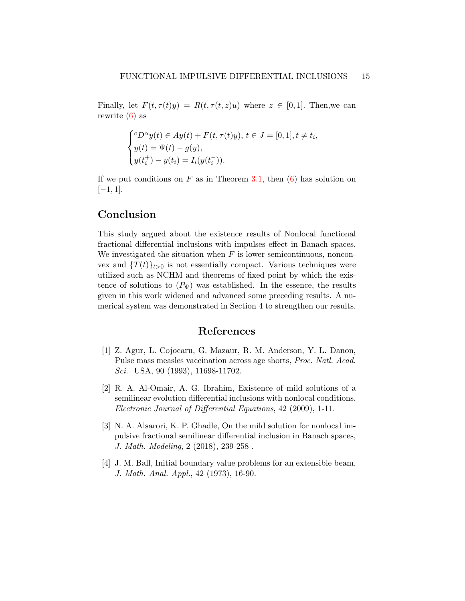Finally, let  $F(t, \tau(t)y) = R(t, \tau(t, z)u)$  where  $z \in [0, 1]$ . Then, we can rewrite [\(6\)](#page-13-0) as

$$
\begin{cases} ^cD^\alpha y(t) \in Ay(t) + F(t, \tau(t)y), \ t \in J = [0, 1], t \neq t_i, \\ y(t) = \Psi(t) - g(y), \\ y(t_i^+) - y(t_i) = I_i(y(t_i^-)). \end{cases}
$$

If we put conditions on  $F$  as in Theorem [3.1,](#page-6-1) then  $(6)$  has solution on  $[-1, 1].$ 

# Conclusion

This study argued about the existence results of Nonlocal functional fractional differential inclusions with impulses effect in Banach spaces. We investigated the situation when  $F$  is lower semicontinuous, nonconvex and  $\{T(t)\}_{t>0}$  is not essentially compact. Various techniques were utilized such as NCHM and theorems of fixed point by which the existence of solutions to  $(P_{\Psi})$  was established. In the essence, the results given in this work widened and advanced some preceding results. A numerical system was demonstrated in Section 4 to strengthen our results.

## References

- <span id="page-14-0"></span>[1] Z. Agur, L. Cojocaru, G. Mazaur, R. M. Anderson, Y. L. Danon, Pulse mass measles vaccination across age shorts, Proc. Natl. Acad. Sci. USA, 90 (1993), 11698-11702.
- <span id="page-14-2"></span>[2] R. A. Al-Omair, A. G. Ibrahim, Existence of mild solutions of a semilinear evolution differential inclusions with nonlocal conditions, Electronic Journal of Differential Equations, 42 (2009), 1-11.
- <span id="page-14-3"></span>[3] N. A. Alsarori, K. P. Ghadle, On the mild solution for nonlocal impulsive fractional semilinear differential inclusion in Banach spaces, J. Math. Modeling, 2 (2018), 239-258 .
- <span id="page-14-1"></span>[4] J. M. Ball, Initial boundary value problems for an extensible beam, J. Math. Anal. Appl., 42 (1973), 16-90.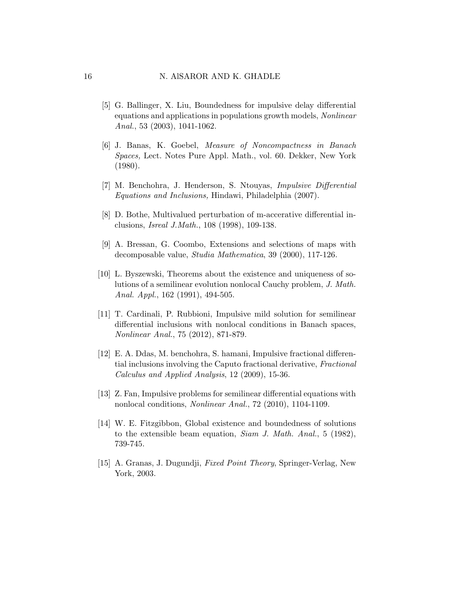- <span id="page-15-0"></span>[5] G. Ballinger, X. Liu, Boundedness for impulsive delay differential equations and applications in populations growth models, Nonlinear Anal., 53 (2003), 1041-1062.
- <span id="page-15-7"></span>[6] J. Banas, K. Goebel, Measure of Noncompactness in Banach Spaces, Lect. Notes Pure Appl. Math., vol. 60. Dekker, New York (1980).
- <span id="page-15-1"></span>[7] M. Benchohra, J. Henderson, S. Ntouyas, Impulsive Differential Equations and Inclusions, Hindawi, Philadelphia (2007).
- <span id="page-15-8"></span>[8] D. Bothe, Multivalued perturbation of m-accerative differential inclusions, Isreal J.Math., 108 (1998), 109-138.
- <span id="page-15-9"></span>[9] A. Bressan, G. Coombo, Extensions and selections of maps with decomposable value, Studia Mathematica, 39 (2000), 117-126.
- <span id="page-15-4"></span>[10] L. Byszewski, Theorems about the existence and uniqueness of solutions of a semilinear evolution nonlocal Cauchy problem, J. Math. Anal. Appl., 162 (1991), 494-505.
- <span id="page-15-2"></span>[11] T. Cardinali, P. Rubbioni, Impulsive mild solution for semilinear differential inclusions with nonlocal conditions in Banach spaces, Nonlinear Anal., 75 (2012), 871-879.
- <span id="page-15-6"></span>[12] E. A. Ddas, M. benchohra, S. hamani, Impulsive fractional differential inclusions involving the Caputo fractional derivative, Fractional Calculus and Applied Analysis, 12 (2009), 15-36.
- <span id="page-15-3"></span>[13] Z. Fan, Impulsive problems for semilinear differential equations with nonlocal conditions, Nonlinear Anal., 72 (2010), 1104-1109.
- <span id="page-15-5"></span>[14] W. E. Fitzgibbon, Global existence and boundedness of solutions to the extensible beam equation, Siam J. Math. Anal., 5 (1982), 739-745.
- <span id="page-15-10"></span>[15] A. Granas, J. Dugundji, *Fixed Point Theory*, Springer-Verlag, New York, 2003.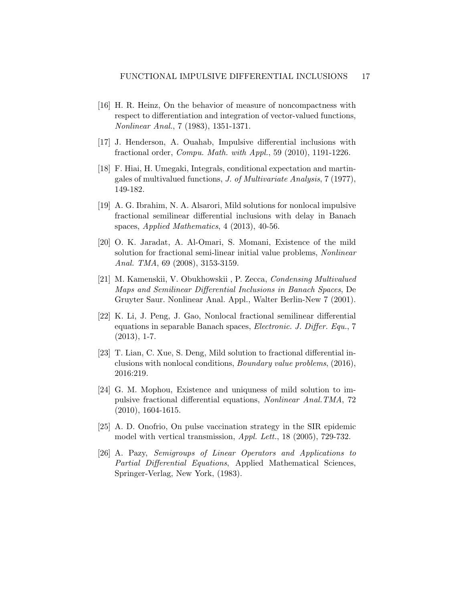- <span id="page-16-8"></span>[16] H. R. Heinz, On the behavior of measure of noncompactness with respect to differentiation and integration of vector-valued functions, Nonlinear Anal., 7 (1983), 1351-1371.
- <span id="page-16-1"></span>[17] J. Henderson, A. Ouahab, Impulsive differential inclusions with fractional order, Compu. Math. with Appl., 59 (2010), 1191-1226.
- <span id="page-16-9"></span>[18] F. Hiai, H. Umegaki, Integrals, conditional expectation and martingales of multivalued functions, J. of Multivariate Analysis, 7 (1977), 149-182.
- <span id="page-16-2"></span>[19] A. G. Ibrahim, N. A. Alsarori, Mild solutions for nonlocal impulsive fractional semilinear differential inclusions with delay in Banach spaces, Applied Mathematics, 4 (2013), 40-56.
- <span id="page-16-3"></span>[20] O. K. Jaradat, A. Al-Omari, S. Momani, Existence of the mild solution for fractional semi-linear initial value problems, Nonlinear Anal. TMA, 69 (2008), 3153-3159.
- <span id="page-16-7"></span>[21] M. Kamenskii, V. Obukhowskii , P. Zecca, Condensing Multivalued Maps and Semilinear Differential Inclusions in Banach Spaces, De Gruyter Saur. Nonlinear Anal. Appl., Walter Berlin-New 7 (2001).
- <span id="page-16-4"></span>[22] K. Li, J. Peng, J. Gao, Nonlocal fractional semilinear differential equations in separable Banach spaces, Electronic. J. Differ. Equ., 7  $(2013), 1-7.$
- <span id="page-16-6"></span>[23] T. Lian, C. Xue, S. Deng, Mild solution to fractional differential inclusions with nonlocal conditions, Boundary value problems, (2016), 2016:219.
- <span id="page-16-5"></span>[24] G. M. Mophou, Existence and uniquness of mild solution to impulsive fractional differential equations, Nonlinear Anal.TMA, 72 (2010), 1604-1615.
- <span id="page-16-0"></span>[25] A. D. Onofrio, On pulse vaccination strategy in the SIR epidemic model with vertical transmission, Appl. Lett., 18 (2005), 729-732.
- <span id="page-16-10"></span>[26] A. Pazy, Semigroups of Linear Operators and Applications to Partial Differential Equations, Applied Mathematical Sciences, Springer-Verlag, New York, (1983).